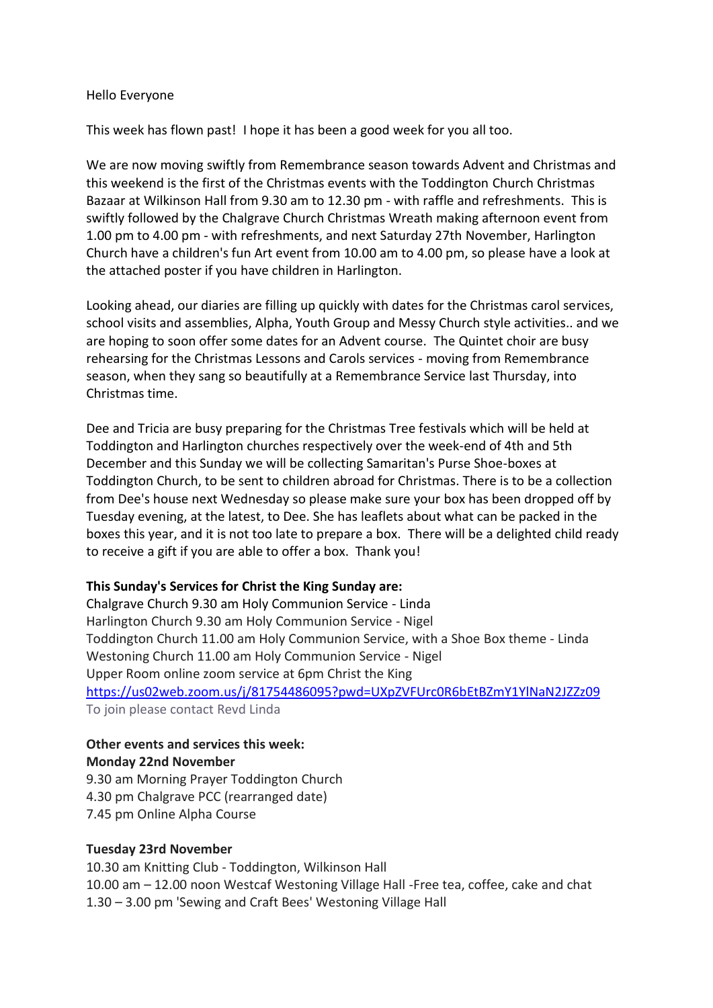#### Hello Everyone

This week has flown past! I hope it has been a good week for you all too.

We are now moving swiftly from Remembrance season towards Advent and Christmas and this weekend is the first of the Christmas events with the Toddington Church Christmas Bazaar at Wilkinson Hall from 9.30 am to 12.30 pm - with raffle and refreshments. This is swiftly followed by the Chalgrave Church Christmas Wreath making afternoon event from 1.00 pm to 4.00 pm - with refreshments, and next Saturday 27th November, Harlington Church have a children's fun Art event from 10.00 am to 4.00 pm, so please have a look at the attached poster if you have children in Harlington.

Looking ahead, our diaries are filling up quickly with dates for the Christmas carol services, school visits and assemblies, Alpha, Youth Group and Messy Church style activities.. and we are hoping to soon offer some dates for an Advent course. The Quintet choir are busy rehearsing for the Christmas Lessons and Carols services - moving from Remembrance season, when they sang so beautifully at a Remembrance Service last Thursday, into Christmas time.

Dee and Tricia are busy preparing for the Christmas Tree festivals which will be held at Toddington and Harlington churches respectively over the week-end of 4th and 5th December and this Sunday we will be collecting Samaritan's Purse Shoe-boxes at Toddington Church, to be sent to children abroad for Christmas. There is to be a collection from Dee's house next Wednesday so please make sure your box has been dropped off by Tuesday evening, at the latest, to Dee. She has leaflets about what can be packed in the boxes this year, and it is not too late to prepare a box. There will be a delighted child ready to receive a gift if you are able to offer a box. Thank you!

# **This Sunday's Services for Christ the King Sunday are:**

Chalgrave Church 9.30 am Holy Communion Service - Linda Harlington Church 9.30 am Holy Communion Service - Nigel Toddington Church 11.00 am Holy Communion Service, with a Shoe Box theme - Linda Westoning Church 11.00 am Holy Communion Service - Nigel Upper Room online zoom service at 6pm Christ the King <https://us02web.zoom.us/j/81754486095?pwd=UXpZVFUrc0R6bEtBZmY1YlNaN2JZZz09> To join please contact Revd Linda

# **Other events and services this week:**

#### **Monday 22nd November**

9.30 am Morning Prayer Toddington Church 4.30 pm Chalgrave PCC (rearranged date) 7.45 pm Online Alpha Course

#### **Tuesday 23rd November**

10.30 am Knitting Club - Toddington, Wilkinson Hall 10.00 am – 12.00 noon Westcaf Westoning Village Hall -Free tea, coffee, cake and chat 1.30 – 3.00 pm 'Sewing and Craft Bees' Westoning Village Hall